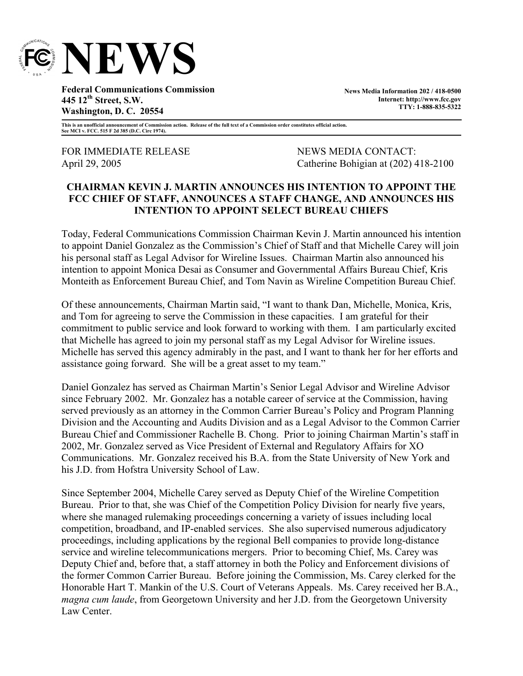

**Federal Communications Commission 445 12th Street, S.W. Washington, D. C. 20554** 

**News Media Information 202 / 418-0500 Internet: http://www.fcc.gov TTY: 1-888-835-5322**

**This is an unofficial announcement of Commission action. Release of the full text of a Commission order constitutes official action. See MCI v. FCC. 515 F 2d 385 (D.C. Circ 1974).** 

FOR IMMEDIATE RELEASE NEWS MEDIA CONTACT:

April 29, 2005 Catherine Bohigian at (202) 418-2100

## **CHAIRMAN KEVIN J. MARTIN ANNOUNCES HIS INTENTION TO APPOINT THE FCC CHIEF OF STAFF, ANNOUNCES A STAFF CHANGE, AND ANNOUNCES HIS INTENTION TO APPOINT SELECT BUREAU CHIEFS**

Today, Federal Communications Commission Chairman Kevin J. Martin announced his intention to appoint Daniel Gonzalez as the Commission's Chief of Staff and that Michelle Carey will join his personal staff as Legal Advisor for Wireline Issues. Chairman Martin also announced his intention to appoint Monica Desai as Consumer and Governmental Affairs Bureau Chief, Kris Monteith as Enforcement Bureau Chief, and Tom Navin as Wireline Competition Bureau Chief.

Of these announcements, Chairman Martin said, "I want to thank Dan, Michelle, Monica, Kris, and Tom for agreeing to serve the Commission in these capacities. I am grateful for their commitment to public service and look forward to working with them. I am particularly excited that Michelle has agreed to join my personal staff as my Legal Advisor for Wireline issues. Michelle has served this agency admirably in the past, and I want to thank her for her efforts and assistance going forward. She will be a great asset to my team."

Daniel Gonzalez has served as Chairman Martin's Senior Legal Advisor and Wireline Advisor since February 2002. Mr. Gonzalez has a notable career of service at the Commission, having served previously as an attorney in the Common Carrier Bureau's Policy and Program Planning Division and the Accounting and Audits Division and as a Legal Advisor to the Common Carrier Bureau Chief and Commissioner Rachelle B. Chong. Prior to joining Chairman Martin's staff in 2002, Mr. Gonzalez served as Vice President of External and Regulatory Affairs for XO Communications. Mr. Gonzalez received his B.A. from the State University of New York and his J.D. from Hofstra University School of Law.

Since September 2004, Michelle Carey served as Deputy Chief of the Wireline Competition Bureau. Prior to that, she was Chief of the Competition Policy Division for nearly five years, where she managed rulemaking proceedings concerning a variety of issues including local competition, broadband, and IP-enabled services. She also supervised numerous adjudicatory proceedings, including applications by the regional Bell companies to provide long-distance service and wireline telecommunications mergers. Prior to becoming Chief, Ms. Carey was Deputy Chief and, before that, a staff attorney in both the Policy and Enforcement divisions of the former Common Carrier Bureau. Before joining the Commission, Ms. Carey clerked for the Honorable Hart T. Mankin of the U.S. Court of Veterans Appeals. Ms. Carey received her B.A., *magna cum laude*, from Georgetown University and her J.D. from the Georgetown University Law Center.